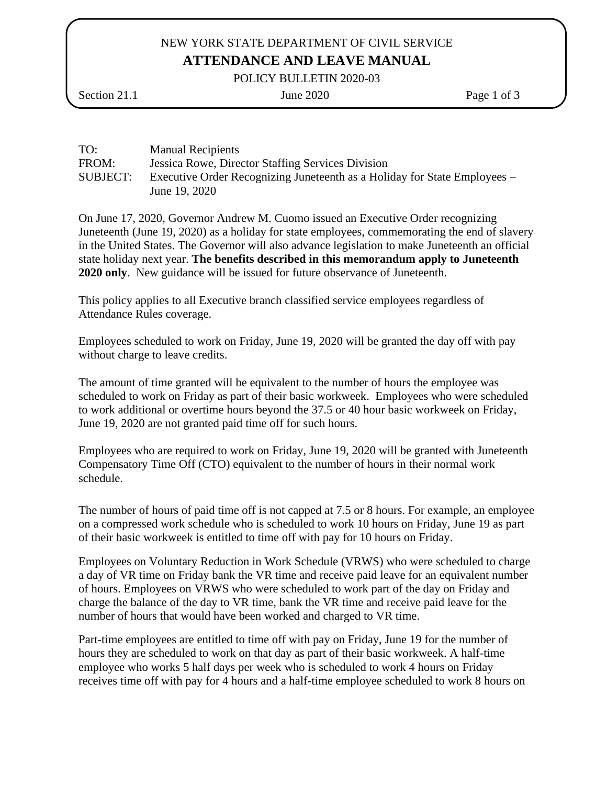# NEW YORK STATE DEPARTMENT OF CIVIL SERVICE **ATTENDANCE AND LEAVE MANUAL**

POLICY BULLETIN 2020-03

Section 21.1 June 2020 Page 1 of 3

| TO:      | <b>Manual Recipients</b>                                                  |
|----------|---------------------------------------------------------------------------|
| FROM:    | <b>Jessica Rowe, Director Staffing Services Division</b>                  |
| SUBJECT: | Executive Order Recognizing Juneteenth as a Holiday for State Employees – |
|          | June 19, 2020                                                             |

On June 17, 2020, Governor Andrew M. Cuomo issued an Executive Order recognizing Juneteenth (June 19, 2020) as a holiday for state employees, commemorating the end of slavery in the United States. The Governor will also advance legislation to make Juneteenth an official state holiday next year. **The benefits described in this memorandum apply to Juneteenth 2020 only**. New guidance will be issued for future observance of Juneteenth.

This policy applies to all Executive branch classified service employees regardless of Attendance Rules coverage.

Employees scheduled to work on Friday, June 19, 2020 will be granted the day off with pay without charge to leave credits.

The amount of time granted will be equivalent to the number of hours the employee was scheduled to work on Friday as part of their basic workweek. Employees who were scheduled to work additional or overtime hours beyond the 37.5 or 40 hour basic workweek on Friday, June 19, 2020 are not granted paid time off for such hours.

Employees who are required to work on Friday, June 19, 2020 will be granted with Juneteenth Compensatory Time Off (CTO) equivalent to the number of hours in their normal work schedule.

The number of hours of paid time off is not capped at 7.5 or 8 hours. For example, an employee on a compressed work schedule who is scheduled to work 10 hours on Friday, June 19 as part of their basic workweek is entitled to time off with pay for 10 hours on Friday.

Employees on Voluntary Reduction in Work Schedule (VRWS) who were scheduled to charge a day of VR time on Friday bank the VR time and receive paid leave for an equivalent number of hours. Employees on VRWS who were scheduled to work part of the day on Friday and charge the balance of the day to VR time, bank the VR time and receive paid leave for the number of hours that would have been worked and charged to VR time.

Part-time employees are entitled to time off with pay on Friday, June 19 for the number of hours they are scheduled to work on that day as part of their basic workweek. A half-time employee who works 5 half days per week who is scheduled to work 4 hours on Friday receives time off with pay for 4 hours and a half-time employee scheduled to work 8 hours on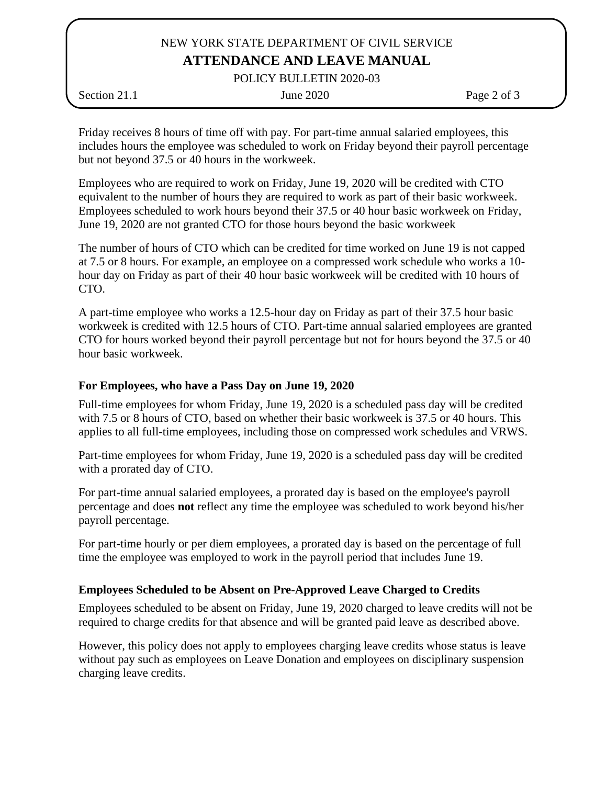## NEW YORK STATE DEPARTMENT OF CIVIL SERVICE **ATTENDANCE AND LEAVE MANUAL**

POLICY BULLETIN 2020-03

Section 21.1 June 2020 Page 2 of 3

Friday receives 8 hours of time off with pay. For part-time annual salaried employees, this includes hours the employee was scheduled to work on Friday beyond their payroll percentage but not beyond 37.5 or 40 hours in the workweek.

Employees who are required to work on Friday, June 19, 2020 will be credited with CTO equivalent to the number of hours they are required to work as part of their basic workweek. Employees scheduled to work hours beyond their 37.5 or 40 hour basic workweek on Friday, June 19, 2020 are not granted CTO for those hours beyond the basic workweek

The number of hours of CTO which can be credited for time worked on June 19 is not capped at 7.5 or 8 hours. For example, an employee on a compressed work schedule who works a 10 hour day on Friday as part of their 40 hour basic workweek will be credited with 10 hours of CTO.

A part-time employee who works a 12.5-hour day on Friday as part of their 37.5 hour basic workweek is credited with 12.5 hours of CTO. Part-time annual salaried employees are granted CTO for hours worked beyond their payroll percentage but not for hours beyond the 37.5 or 40 hour basic workweek.

### **For Employees, who have a Pass Day on June 19, 2020**

Full-time employees for whom Friday, June 19, 2020 is a scheduled pass day will be credited with 7.5 or 8 hours of CTO, based on whether their basic workweek is 37.5 or 40 hours. This applies to all full-time employees, including those on compressed work schedules and VRWS.

Part-time employees for whom Friday, June 19, 2020 is a scheduled pass day will be credited with a prorated day of CTO.

For part-time annual salaried employees, a prorated day is based on the employee's payroll percentage and does **not** reflect any time the employee was scheduled to work beyond his/her payroll percentage.

For part-time hourly or per diem employees, a prorated day is based on the percentage of full time the employee was employed to work in the payroll period that includes June 19.

## **Employees Scheduled to be Absent on Pre-Approved Leave Charged to Credits**

Employees scheduled to be absent on Friday, June 19, 2020 charged to leave credits will not be required to charge credits for that absence and will be granted paid leave as described above.

However, this policy does not apply to employees charging leave credits whose status is leave without pay such as employees on Leave Donation and employees on disciplinary suspension charging leave credits.